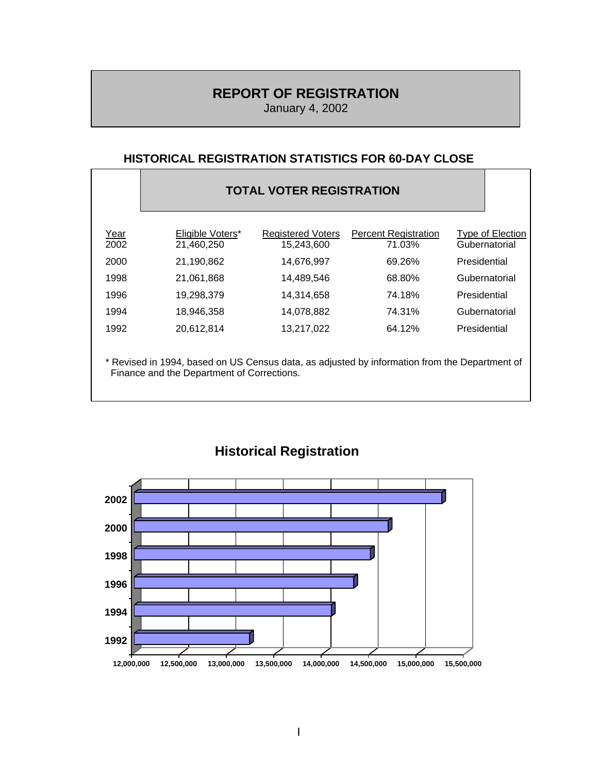### **REPORT OF REGISTRATION**

January 4, 2002

#### **HISTORICAL REGISTRATION STATISTICS FOR 60-DAY CLOSE**

|                                                                                                                                             | <b>TOTAL VOTER REGISTRATION</b> |                                        |                                       |                                   |  |
|---------------------------------------------------------------------------------------------------------------------------------------------|---------------------------------|----------------------------------------|---------------------------------------|-----------------------------------|--|
| Year<br>2002                                                                                                                                | Eligible Voters*<br>21,460,250  | <b>Registered Voters</b><br>15,243,600 | <b>Percent Registration</b><br>71.03% | Type of Election<br>Gubernatorial |  |
| 2000                                                                                                                                        | 21,190,862                      | 14,676,997                             | 69.26%                                | Presidential                      |  |
| 1998                                                                                                                                        | 21.061.868                      | 14.489.546                             | 68.80%                                | Gubernatorial                     |  |
| 1996                                                                                                                                        | 19,298,379                      | 14,314,658                             | 74.18%                                | Presidential                      |  |
| 1994                                                                                                                                        | 18,946,358                      | 14,078,882                             | 74.31%                                | Gubernatorial                     |  |
| 1992                                                                                                                                        | 20,612,814                      | 13,217,022                             | 64.12%                                | Presidential                      |  |
| * Revised in 1994, based on US Census data, as adjusted by information from the Department of<br>Finance and the Department of Corrections. |                                 |                                        |                                       |                                   |  |



## **Historical Registration**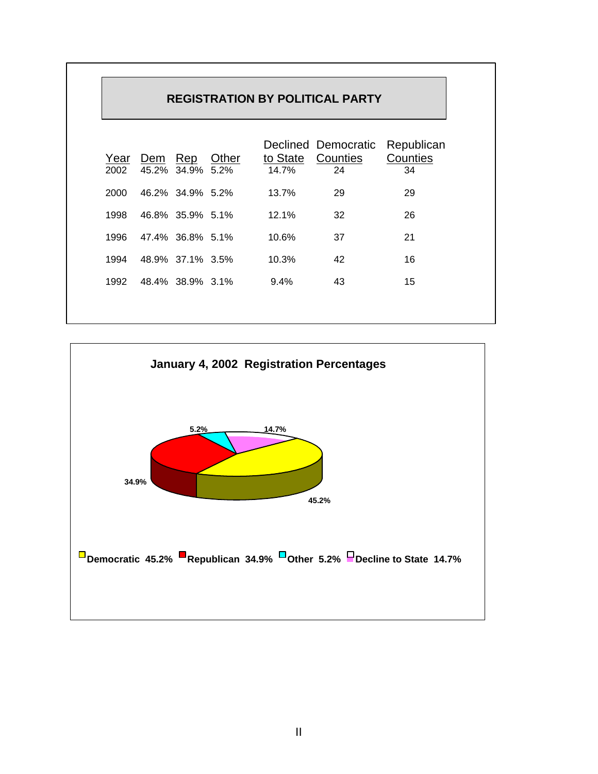| <b>REGISTRATION BY POLITICAL PARTY</b> |              |                     |               |         |                                                |                              |
|----------------------------------------|--------------|---------------------|---------------|---------|------------------------------------------------|------------------------------|
| Year<br>2002                           | Dem<br>45.2% | <u>Rep</u><br>34.9% | Other<br>5.2% | 14.7%   | Declined Democratic<br>to State Counties<br>24 | Republican<br>Counties<br>34 |
| 2000                                   |              | 46.2% 34.9% 5.2%    |               | 13.7%   | 29                                             | 29                           |
| 1998                                   |              | 46.8% 35.9% 5.1%    |               | 12.1%   | 32                                             | 26                           |
| 1996                                   |              | 47.4% 36.8% 5.1%    |               | 10.6%   | 37                                             | 21                           |
| 1994                                   |              | 48.9% 37.1% 3.5%    |               | 10.3%   | 42                                             | 16                           |
| 1992                                   |              | 48.4% 38.9% 3.1%    |               | $9.4\%$ | 43                                             | 15                           |
|                                        |              |                     |               |         |                                                |                              |

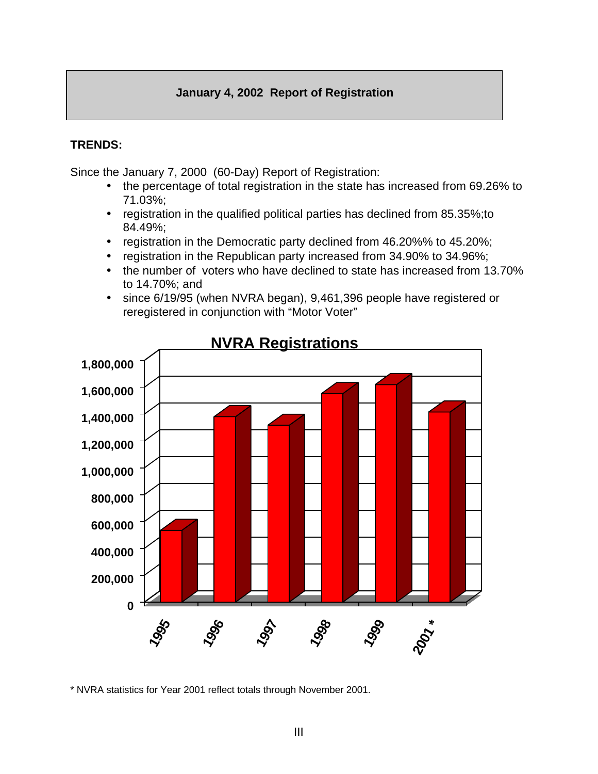#### **January 4, 2002 Report of Registration**

#### **TRENDS:**

Since the January 7, 2000 (60-Day) Report of Registration:

- the percentage of total registration in the state has increased from 69.26% to 71.03%;
- registration in the qualified political parties has declined from 85.35%;to 84.49%;
- registration in the Democratic party declined from 46.20%% to 45.20%;
- registration in the Republican party increased from 34.90% to 34.96%;
- the number of voters who have declined to state has increased from 13.70% to 14.70%; and
- since 6/19/95 (when NVRA began), 9,461,396 people have registered or reregistered in conjunction with "Motor Voter"



\* NVRA statistics for Year 2001 reflect totals through November 2001.